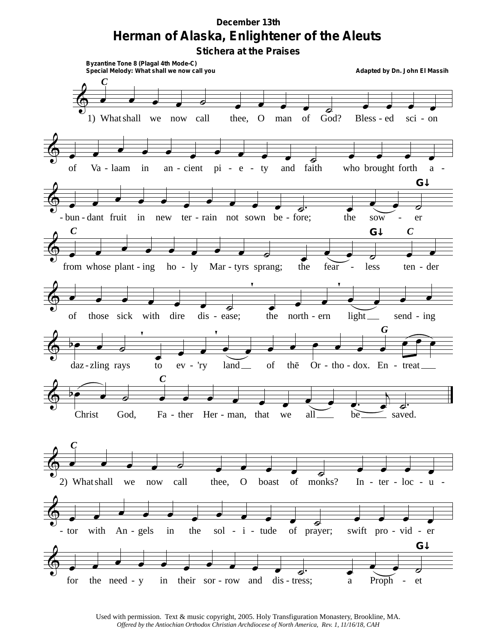## *December 13th* **Herman of Alaska, Enlightener of the Aleuts**

**Stichera at the Praises**



Used with permission. Text & music copyright, 2005. Holy Transfiguration Monastery, Brookline, MA. *Offered by the Antiochian Orthodox Christian Archdiocese of North America, Rev. 1, 11/16/18, CAH*